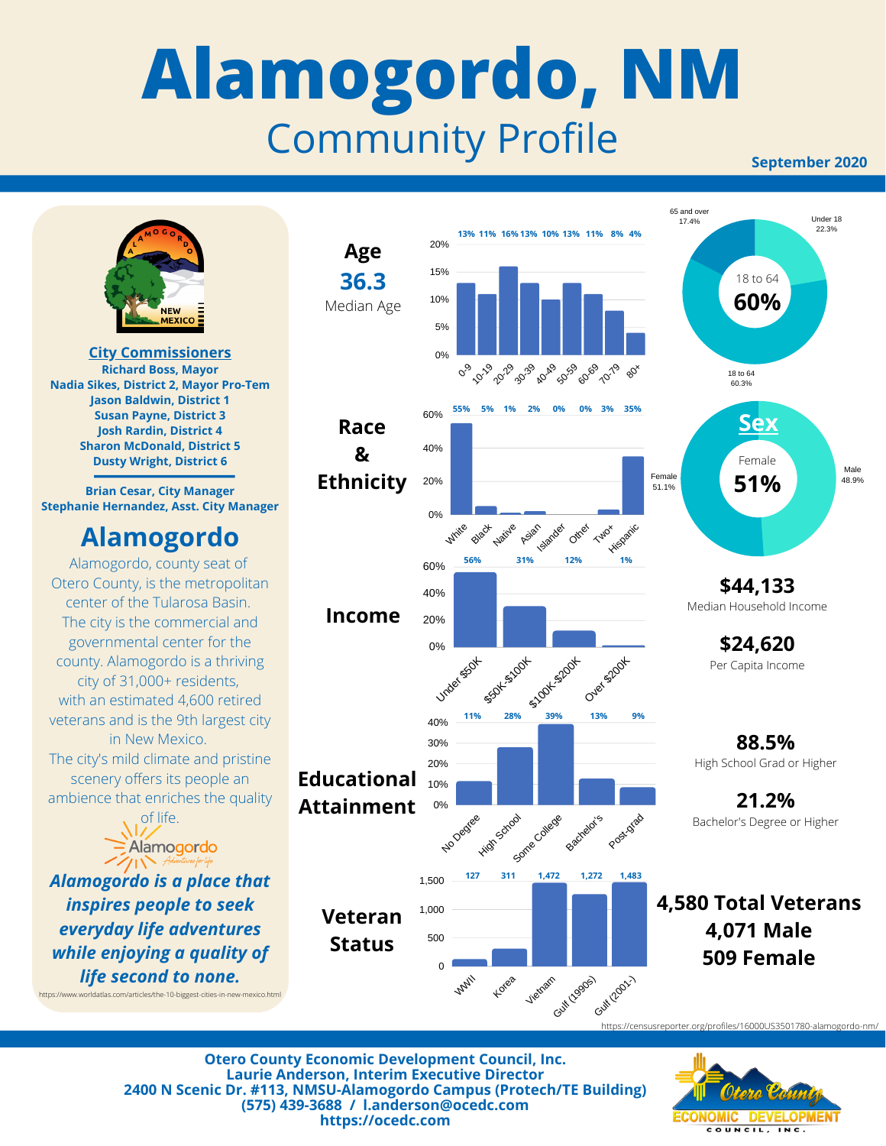## **Alamogordo, NM** Community Profile

**September 2020**



**Otero County Economic Development Council, Inc. Laurie Anderson, Interim Executive Director 2400 N Scenic Dr. #113, NMSU-Alamogordo Campus (Protech/TE Building) (575) 439-3688 / l.anderson@ocedc.com https://ocedc.com**